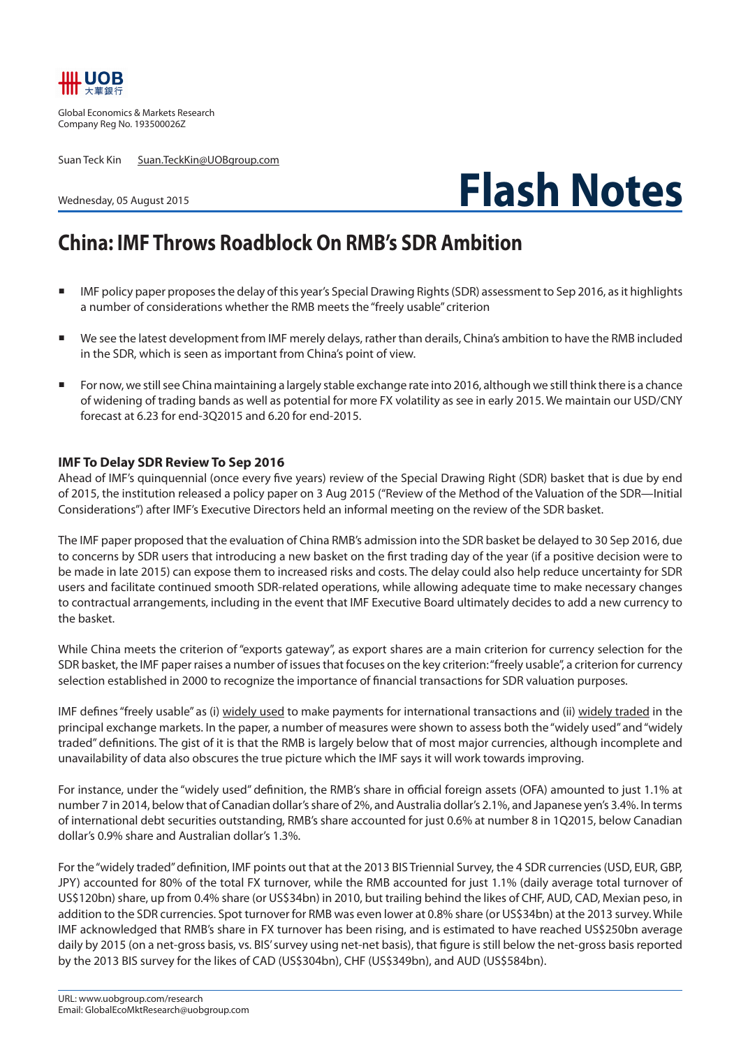

Global Economics & Markets Research Company Reg No. 193500026Z

Suan Teck Kin Suan.TeckKin@UOBgroup.com

Wednesday, 05 August 2015



## **China: IMF Throws Roadblock On RMB's SDR Ambition**

- IMF policy paper proposes the delay of this year's Special Drawing Rights (SDR) assessment to Sep 2016, as it highlights a number of considerations whether the RMB meets the "freely usable" criterion
- We see the latest development from IMF merely delays, rather than derails, China's ambition to have the RMB included in the SDR, which is seen as important from China's point of view.
- For now, we still see China maintaining a largely stable exchange rate into 2016, although we still think there is a chance of widening of trading bands as well as potential for more FX volatility as see in early 2015. We maintain our USD/CNY forecast at 6.23 for end-3Q2015 and 6.20 for end-2015.

## **IMF To Delay SDR Review To Sep 2016**

Ahead of IMF's quinquennial (once every five years) review of the Special Drawing Right (SDR) basket that is due by end of 2015, the institution released a policy paper on 3 Aug 2015 ("Review of the Method of the Valuation of the SDR—Initial Considerations") after IMF's Executive Directors held an informal meeting on the review of the SDR basket.

The IMF paper proposed that the evaluation of China RMB's admission into the SDR basket be delayed to 30 Sep 2016, due to concerns by SDR users that introducing a new basket on the first trading day of the year (if a positive decision were to be made in late 2015) can expose them to increased risks and costs. The delay could also help reduce uncertainty for SDR users and facilitate continued smooth SDR-related operations, while allowing adequate time to make necessary changes to contractual arrangements, including in the event that IMF Executive Board ultimately decides to add a new currency to the basket.

While China meets the criterion of "exports gateway", as export shares are a main criterion for currency selection for the SDR basket, the IMF paper raises a number of issues that focuses on the key criterion: "freely usable", a criterion for currency selection established in 2000 to recognize the importance of financial transactions for SDR valuation purposes.

IMF defines "freely usable" as (i) widely used to make payments for international transactions and (ii) widely traded in the principal exchange markets. In the paper, a number of measures were shown to assess both the "widely used" and "widely traded" definitions. The gist of it is that the RMB is largely below that of most major currencies, although incomplete and unavailability of data also obscures the true picture which the IMF says it will work towards improving.

For instance, under the "widely used" definition, the RMB's share in official foreign assets (OFA) amounted to just 1.1% at number 7 in 2014, below that of Canadian dollar's share of 2%, and Australia dollar's 2.1%, and Japanese yen's 3.4%. In terms of international debt securities outstanding, RMB's share accounted for just 0.6% at number 8 in 1Q2015, below Canadian dollar's 0.9% share and Australian dollar's 1.3%.

For the "widely traded" definition, IMF points out that at the 2013 BIS Triennial Survey, the 4 SDR currencies (USD, EUR, GBP, JPY) accounted for 80% of the total FX turnover, while the RMB accounted for just 1.1% (daily average total turnover of US\$120bn) share, up from 0.4% share (or US\$34bn) in 2010, but trailing behind the likes of CHF, AUD, CAD, Mexian peso, in addition to the SDR currencies. Spot turnover for RMB was even lower at 0.8% share (or US\$34bn) at the 2013 survey. While IMF acknowledged that RMB's share in FX turnover has been rising, and is estimated to have reached US\$250bn average daily by 2015 (on a net-gross basis, vs. BIS' survey using net-net basis), that figure is still below the net-gross basis reported by the 2013 BIS survey for the likes of CAD (US\$304bn), CHF (US\$349bn), and AUD (US\$584bn).